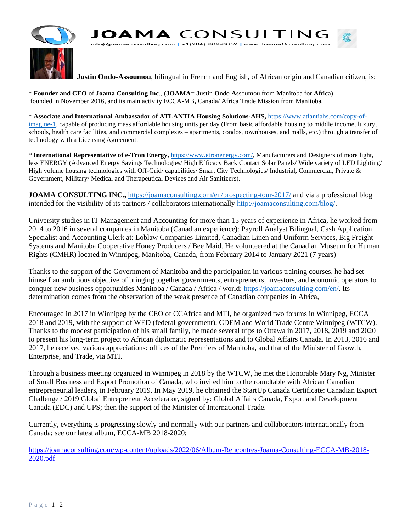

**Justin Ondo-Assoumou**, bilingual in French and English, of African origin and Canadian citizen, is:

\* **Founder and CEO** of **Joama Consulting Inc**., **(JOAMA**= **J**ustin **O**ndo **A**ssoumou from **M**anitoba for **A**frica) founded in November 2016, and its main activity ECCA-MB, Canada/ Africa Trade Mission from Manitoba.

\* **Associate and International Ambassador** of **ATLANTIA Housing Solutions-AHS,** [https://www.atlantiahs.com/copy-of](https://www.atlantiahs.com/copy-of-imagine-1)[imagine-1,](https://www.atlantiahs.com/copy-of-imagine-1) capable of producing mass affordable housing units per day (From basic affordable housing to middle income, luxury, schools, health care facilities, and commercial complexes – apartments, condos, townhouses, and malls, etc.) through a transfer of technology with a Licensing Agreement.

\* **International Representative of e-Tron Energy,** [https://www.etronenergy.com/,](https://www.etronenergy.com/) Manufacturers and Designers of more light, less ENERGY (Advanced Energy Savings Technologies/ High Efficacy Back Contact Solar Panels/ Wide variety of LED Lighting/ High volume housing technologies with Off-Grid/ capabilities/ Smart City Technologies/ Industrial, Commercial, Private & Government, Military/ Medical and Therapeutical Devices and Air Sanitizers).

**JOAMA CONSULTING INC.,** <https://joamaconsulting.com/en/prospecting-tour-2017/> and via a professional blog intended for the visibility of its partners / collaborators internationally [http://joamaconsulting.com/blog/.](http://joamaconsulting.com/blog/)

University studies in IT Management and Accounting for more than 15 years of experience in Africa, he worked from 2014 to 2016 in several companies in Manitoba (Canadian experience): Payroll Analyst Bilingual, Cash Application Specialist and Accounting Clerk at: Loblaw Companies Limited, Canadian Linen and Uniform Services, Big Freight Systems and Manitoba Cooperative Honey Producers / Bee Maid. He volunteered at the Canadian Museum for Human Rights (CMHR) located in Winnipeg, Manitoba, Canada, from February 2014 to January 2021 (7 years)

Thanks to the support of the Government of Manitoba and the participation in various training courses, he had set himself an ambitious objective of bringing together governments, entrepreneurs, investors, and economic operators to conquer new business opportunities Manitoba / Canada / Africa / world: [https://joamaconsulting.com/en/.](https://joamaconsulting.com/en/) Its determination comes from the observation of the weak presence of Canadian companies in Africa,

Encouraged in 2017 in Winnipeg by the CEO of CCAfrica and MTI, he organized two forums in Winnipeg, ECCA 2018 and 2019, with the support of WED (federal government), CDEM and World Trade Centre Winnipeg (WTCW). Thanks to the modest participation of his small family, he made several trips to Ottawa in 2017, 2018, 2019 and 2020 to present his long-term project to African diplomatic representations and to Global Affairs Canada. In 2013, 2016 and 2017, he received various appreciations: offices of the Premiers of Manitoba, and that of the Minister of Growth, Enterprise, and Trade, via MTI.

Through a business meeting organized in Winnipeg in 2018 by the WTCW, he met the Honorable Mary Ng, Minister of Small Business and Export Promotion of Canada, who invited him to the roundtable with African Canadian entrepreneurial leaders, in February 2019. In May 2019, he obtained the StartUp Canada Certificate: Canadian Export Challenge / 2019 Global Entrepreneur Accelerator, signed by: Global Affairs Canada, Export and Development Canada (EDC) and UPS; then the support of the Minister of International Trade.

Currently, everything is progressing slowly and normally with our partners and collaborators internationally from Canada; see our latest album, ECCA-MB 2018-2020:

https://joamaconsulting.com/wp-content/uploads/2022/06/Album-Rencontres-Joama-Consulting-ECCA-MB-2018- 2020.pdf